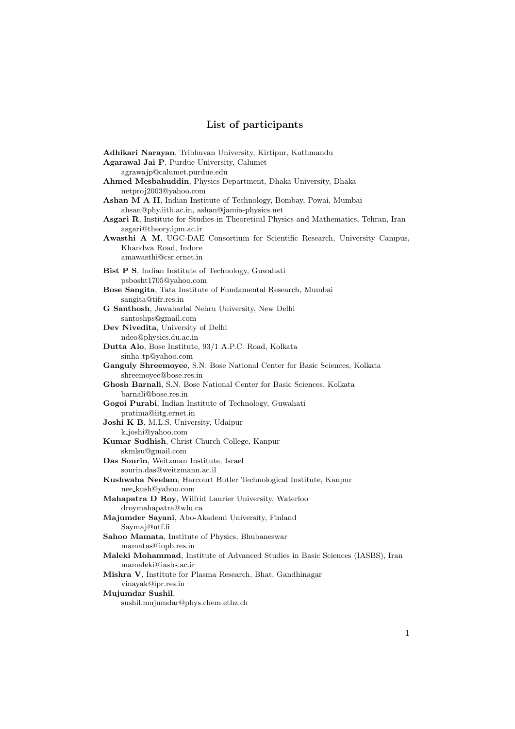## **List of participants**

| Adhikari Narayan, Tribhuvan University, Kirtipur, Kathmandu                                            |
|--------------------------------------------------------------------------------------------------------|
| Agarawal Jai P, Purdue University, Calumet                                                             |
| agrawajp@calumet.purdue.edu                                                                            |
| Ahmed Mesbahuddin, Physics Department, Dhaka University, Dhaka                                         |
| netproj2003@yahoo.com                                                                                  |
| Ashan M A H, Indian Institute of Technology, Bombay, Powai, Mumbai                                     |
| ahsan@phy.iitb.ac.in, ashan@jamia-physics.net                                                          |
| Asgari R, Institute for Studies in Theoretical Physics and Mathematics, Tehran, Iran                   |
| asgari@theory.ipm.ac.ir<br>Awasthi A M, UGC-DAE Consortium for Scientific Research, University Campus, |
| Khandwa Road, Indore                                                                                   |
| amawasthi@csr.ernet.in                                                                                 |
| Bist P S, Indian Institute of Technology, Guwahati                                                     |
| psbosht1705@yahoo.com                                                                                  |
| Bose Sangita, Tata Institute of Fundamental Research, Mumbai                                           |
| sangita@tifr.res.in                                                                                    |
| G Santhosh, Jawaharlal Nehru University, New Delhi                                                     |
| santoshps@gmail.com                                                                                    |
| Dev Nivedita, University of Delhi                                                                      |
| ndeo@physics.du.ac.in                                                                                  |
| Dutta Alo, Bose Institute, 93/1 A.P.C. Road, Kolkata                                                   |
| sinha_tp@yahoo.com                                                                                     |
| Ganguly Shreemoyee, S.N. Bose National Center for Basic Sciences, Kolkata                              |
| shreemoyee@bose.res.in<br>Ghosh Barnali, S.N. Bose National Center for Basic Sciences, Kolkata         |
| barnali@bose.res.in                                                                                    |
| Gogoi Purabi, Indian Institute of Technology, Guwahati                                                 |
| pratima@iitg.ernet.in                                                                                  |
| <b>Joshi K B, M.L.S. University, Udaipur</b>                                                           |
| k_joshi@yahoo.com                                                                                      |
| Kumar Sudhish, Christ Church College, Kanpur                                                           |
| skmlsu@gmail.com                                                                                       |
| Das Sourin, Weitzman Institute, Israel                                                                 |
| sourin.das@weitzmann.ac.il                                                                             |
| Kushwaha Neelam, Harcourt Butler Technological Institute, Kanpur                                       |
| nee_kush@yahoo.com                                                                                     |
| Mahapatra D Roy, Wilfrid Laurier University, Waterloo                                                  |
| droymahapatra@wlu.ca                                                                                   |
| Majumder Sayani, Abo-Akademi University, Finland                                                       |
| Saymaj@utf.fi<br>Sahoo Mamata, Institute of Physics, Bhubaneswar                                       |
| mamatas@iopb.res.in                                                                                    |
| Maleki Mohammad, Institute of Advanced Studies in Basic Sciences (IASBS), Iran                         |
| mamaleki@iasbs.ac.ir                                                                                   |
| Mishra V, Institute for Plasma Research, Bhat, Gandhinagar                                             |
| vinayak@ipr.res.in                                                                                     |
| Mujumdar Sushil,                                                                                       |
| sushil.mujumdar@phys.chem.ethz.ch                                                                      |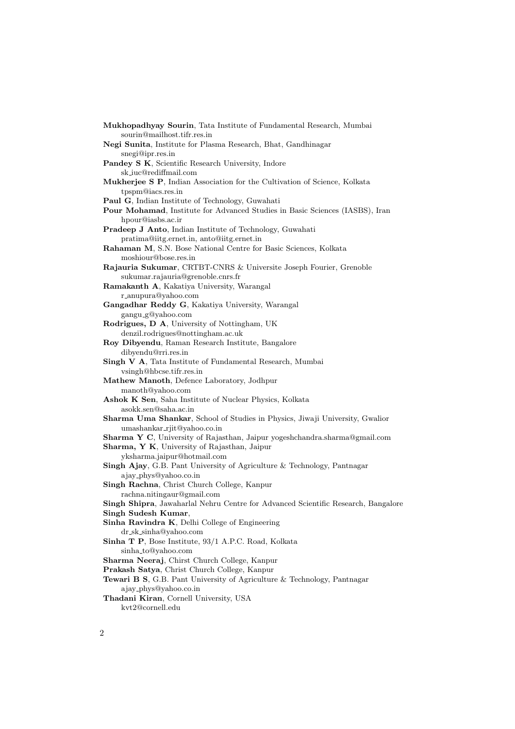**Mukhopadhyay Sourin**, Tata Institute of Fundamental Research, Mumbai sourin@mailhost.tifr.res.in **Negi Sunita**, Institute for Plasma Research, Bhat, Gandhinagar snegi@ipr.res.in **Pandey S K**, Scientific Research University, Indore sk iuc@rediffmail.com **Mukherjee S P**, Indian Association for the Cultivation of Science, Kolkata tpspm@iacs.res.in **Paul G**, Indian Institute of Technology, Guwahati **Pour Mohamad**, Institute for Advanced Studies in Basic Sciences (IASBS), Iran hpour@iasbs.ac.ir **Pradeep J Anto**, Indian Institute of Technology, Guwahati pratima@iitg.ernet.in, anto@iitg.ernet.in **Rahaman M**, S.N. Bose National Centre for Basic Sciences, Kolkata moshiour@bose.res.in **Rajauria Sukumar**, CRTBT-CNRS & Universite Joseph Fourier, Grenoble sukumar.rajauria@grenoble.cnrs.fr **Ramakanth A**, Kakatiya University, Warangal r anupura@yahoo.com **Gangadhar Reddy G**, Kakatiya University, Warangal gangu g@yahoo.com **Rodrigues, D A**, University of Nottingham, UK denzil.rodrigues@nottingham.ac.uk **Roy Dibyendu**, Raman Research Institute, Bangalore dibyendu@rri.res.in **Singh V A**, Tata Institute of Fundamental Research, Mumbai vsingh@hbcse.tifr.res.in **Mathew Manoth**, Defence Laboratory, Jodhpur manoth@yahoo.com **Ashok K Sen**, Saha Institute of Nuclear Physics, Kolkata asokk.sen@saha.ac.in **Sharma Uma Shankar**, School of Studies in Physics, Jiwaji University, Gwalior umashankar\_riit@yahoo.co.in **Sharma Y C**, University of Rajasthan, Jaipur yogeshchandra.sharma@gmail.com **Sharma, Y K**, University of Rajasthan, Jaipur yksharma.jaipur@hotmail.com **Singh Ajay**, G.B. Pant University of Agriculture & Technology, Pantnagar ajay phys@yahoo.co.in **Singh Rachna**, Christ Church College, Kanpur rachna.nitingaur@gmail.com **Singh Shipra**, Jawaharlal Nehru Centre for Advanced Scientific Research, Bangalore **Singh Sudesh Kumar**, **Sinha Ravindra K**, Delhi College of Engineering dr sk sinha@yahoo.com **Sinha T P**, Bose Institute, 93/1 A.P.C. Road, Kolkata sinha to@yahoo.com **Sharma Neeraj**, Chirst Church College, Kanpur **Prakash Satya**, Christ Church College, Kanpur **Tewari B S**, G.B. Pant University of Agriculture & Technology, Pantnagar ajay phys@yahoo.co.in **Thadani Kiran**, Cornell University, USA kvt2@cornell.edu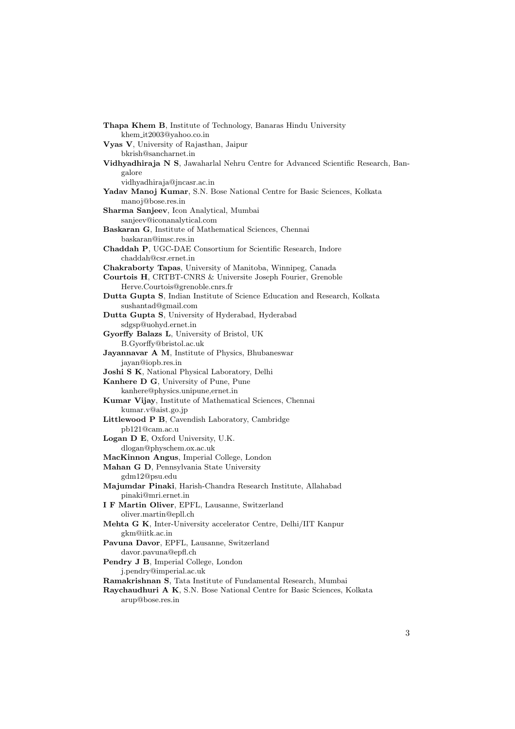**Thapa Khem B**, Institute of Technology, Banaras Hindu University khem it2003@yahoo.co.in **Vyas V**, University of Rajasthan, Jaipur bkrish@sancharnet.in **Vidhyadhiraja N S**, Jawaharlal Nehru Centre for Advanced Scientific Research, Bangalore vidhyadhiraja@jncasr.ac.in **Yadav Manoj Kumar**, S.N. Bose National Centre for Basic Sciences, Kolkata manoj@bose.res.in **Sharma Sanjeev**, Icon Analytical, Mumbai sanjeev@iconanalytical.com **Baskaran G**, Institute of Mathematical Sciences, Chennai baskaran@imsc.res.in **Chaddah P**, UGC-DAE Consortium for Scientific Research, Indore chaddah@csr.ernet.in **Chakraborty Tapas**, University of Manitoba, Winnipeg, Canada **Courtois H**, CRTBT-CNRS & Universite Joseph Fourier, Grenoble Herve.Courtois@grenoble.cnrs.fr **Dutta Gupta S**, Indian Institute of Science Education and Research, Kolkata sushantad@gmail.com **Dutta Gupta S**, University of Hyderabad, Hyderabad sdgsp@uohyd.ernet.in **Gyorffy Balazs L**, University of Bristol, UK B.Gyorffy@bristol.ac.uk **Jayannavar A M**, Institute of Physics, Bhubaneswar jayan@iopb.res.in **Joshi S K**, National Physical Laboratory, Delhi **Kanhere D G**, University of Pune, Pune kanhere@physics.unipune,ernet.in **Kumar Vijay**, Institute of Mathematical Sciences, Chennai kumar.v@aist.go.jp **Littlewood P B**, Cavendish Laboratory, Cambridge pb121@cam.ac.u **Logan D E**, Oxford University, U.K. dlogan@physchem.ox.ac.uk **MacKinnon Angus**, Imperial College, London **Mahan G D**, Pennsylvania State University gdm12@psu.edu **Majumdar Pinaki**, Harish-Chandra Research Institute, Allahabad pinaki@mri.ernet.in **I F Martin Oliver**, EPFL, Lausanne, Switzerland oliver.martin@epll.ch **Mehta G K**, Inter-University accelerator Centre, Delhi/IIT Kanpur gkm@iitk.ac.in **Pavuna Davor**, EPFL, Lausanne, Switzerland davor.pavuna@epfl.ch **Pendry J B**, Imperial College, London j.pendry@imperial.ac.uk **Ramakrishnan S**, Tata Institute of Fundamental Research, Mumbai **Raychaudhuri A K**, S.N. Bose National Centre for Basic Sciences, Kolkata arup@bose.res.in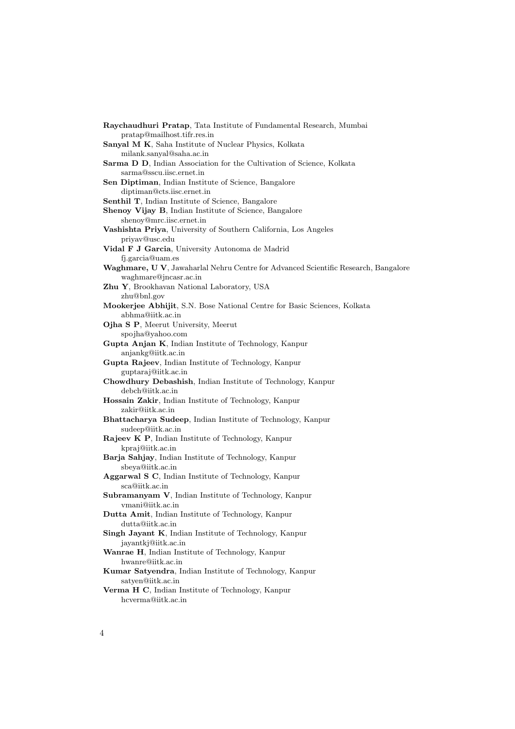**Raychaudhuri Pratap**, Tata Institute of Fundamental Research, Mumbai pratap@mailhost.tifr.res.in **Sanyal M K**, Saha Institute of Nuclear Physics, Kolkata milank.sanyal@saha.ac.in **Sarma D D**, Indian Association for the Cultivation of Science, Kolkata sarma@sscu.iisc.ernet.in **Sen Diptiman**, Indian Institute of Science, Bangalore diptiman@cts.iisc.ernet.in **Senthil T**, Indian Institute of Science, Bangalore **Shenoy Vijay B**, Indian Institute of Science, Bangalore shenoy@mrc.iisc.ernet.in **Vashishta Priya**, University of Southern California, Los Angeles priyav@usc.edu **Vidal F J Garcia**, University Autonoma de Madrid fj.garcia@uam.es **Waghmare, U V**, Jawaharlal Nehru Centre for Advanced Scientific Research, Bangalore waghmare@jncasr.ac.in **Zhu Y**, Brookhavan National Laboratory, USA zhu@bnl.gov **Mookerjee Abhijit**, S.N. Bose National Centre for Basic Sciences, Kolkata abhma@iitk.ac.in **Ojha S P**, Meerut University, Meerut spojha@yahoo.com **Gupta Anjan K**, Indian Institute of Technology, Kanpur anjankg@iitk.ac.in **Gupta Rajeev**, Indian Institute of Technology, Kanpur guptaraj@iitk.ac.in **Chowdhury Debashish**, Indian Institute of Technology, Kanpur debch@iitk.ac.in **Hossain Zakir**, Indian Institute of Technology, Kanpur zakir@iitk.ac.in **Bhattacharya Sudeep**, Indian Institute of Technology, Kanpur sudeep@iitk.ac.in **Rajeev K P**, Indian Institute of Technology, Kanpur kpraj@iitk.ac.in **Barja Sahjay**, Indian Institute of Technology, Kanpur sbeya@iitk.ac.in **Aggarwal S C**, Indian Institute of Technology, Kanpur sca@iitk.ac.in **Subramanyam V**, Indian Institute of Technology, Kanpur vmani@iitk.ac.in **Dutta Amit**, Indian Institute of Technology, Kanpur dutta@iitk.ac.in **Singh Jayant K**, Indian Institute of Technology, Kanpur jayantkj@iitk.ac.in **Wanrae H**, Indian Institute of Technology, Kanpur hwanre@iitk.ac.in **Kumar Satyendra**, Indian Institute of Technology, Kanpur satyen@iitk.ac.in **Verma H C**, Indian Institute of Technology, Kanpur hcverma@iitk.ac.in